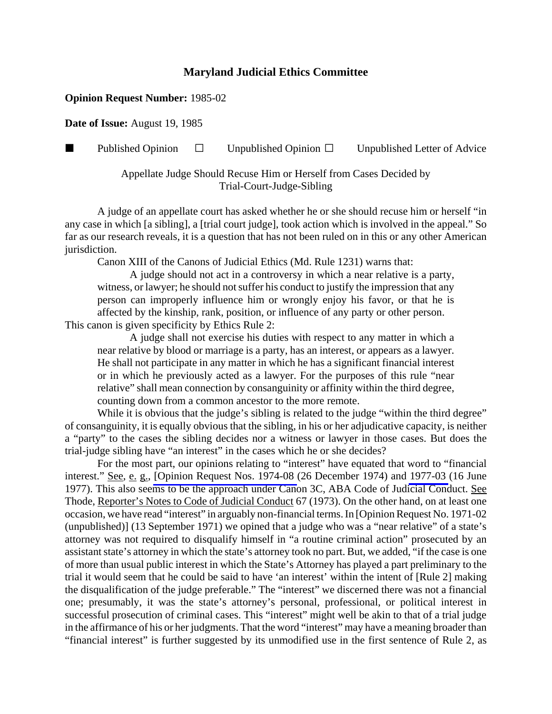#### **Opinion Request Number:** 1985-02

**Date of Issue:** August 19, 1985

**Published Opinion**  $\Box$  Unpublished Opinion  $\Box$  Unpublished Letter of Advice

Appellate Judge Should Recuse Him or Herself from Cases Decided by Trial-Court-Judge-Sibling

A judge of an appellate court has asked whether he or she should recuse him or herself "in any case in which [a sibling], a [trial court judge], took action which is involved in the appeal." So far as our research reveals, it is a question that has not been ruled on in this or any other American jurisdiction.

Canon XIII of the Canons of Judicial Ethics (Md. Rule 1231) warns that:

A judge should not act in a controversy in which a near relative is a party, witness, or lawyer; he should not suffer his conduct to justify the impression that any person can improperly influence him or wrongly enjoy his favor, or that he is affected by the kinship, rank, position, or influence of any party or other person. This canon is given specificity by Ethics Rule 2:

A judge shall not exercise his duties with respect to any matter in which a near relative by blood or marriage is a party, has an interest, or appears as a lawyer. He shall not participate in any matter in which he has a significant financial interest or in which he previously acted as a lawyer. For the purposes of this rule "near relative" shall mean connection by consanguinity or affinity within the third degree, counting down from a common ancestor to the more remote.

While it is obvious that the judge's sibling is related to the judge "within the third degree" of consanguinity, it is equally obvious that the sibling, in his or her adjudicative capacity, is neither a "party" to the cases the sibling decides nor a witness or lawyer in those cases. But does the trial-judge sibling have "an interest" in the cases which he or she decides?

For the most part, our opinions relating to "interest" have equated that word to "financial interest." See, e. g., [\[Opinion Request Nos. 1974-08](http://www.mdcourts.gov/ethics/pdfs/1974-08.pdf) (26 December 1974) and [1977-03](http://www.mdcourts.gov/ethics/pdfs/1977-03.pdf) (16 June 1977). This also seems to be the approach under Canon 3C, ABA Code of Judicial Conduct. See Thode, Reporter's Notes to Code of Judicial Conduct 67 (1973). On the other hand, on at least one occasion, we have read "interest" in arguably non-financial terms. In [Opinion Request No. 1971-02 (unpublished)] (13 September 1971) we opined that a judge who was a "near relative" of a state's attorney was not required to disqualify himself in "a routine criminal action" prosecuted by an assistant state's attorney in which the state's attorney took no part. But, we added, "if the case is one of more than usual public interest in which the State's Attorney has played a part preliminary to the trial it would seem that he could be said to have 'an interest' within the intent of [Rule 2] making the disqualification of the judge preferable." The "interest" we discerned there was not a financial one; presumably, it was the state's attorney's personal, professional, or political interest in successful prosecution of criminal cases. This "interest" might well be akin to that of a trial judge in the affirmance of his or her judgments. That the word "interest" may have a meaning broader than "financial interest" is further suggested by its unmodified use in the first sentence of Rule 2, as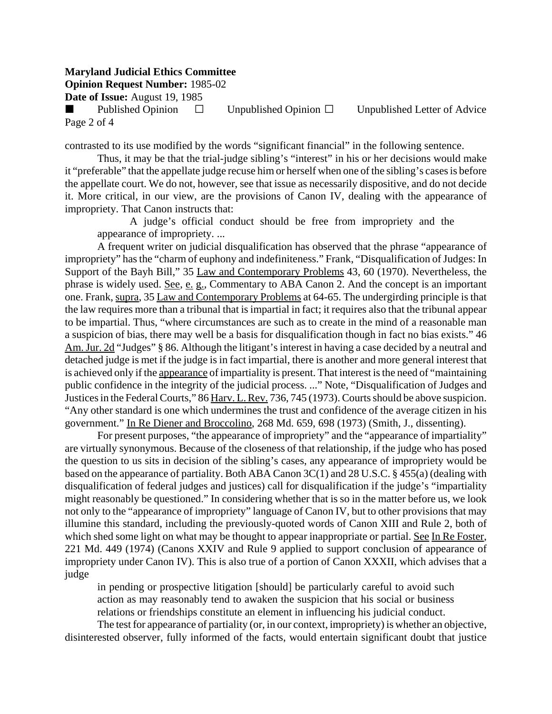**Opinion Request Number:** 1985-02

**Date of Issue:** August 19, 1985

Published Opinion  $\Box$  Unpublished Opinion  $\Box$  Unpublished Letter of Advice Page 2 of 4

contrasted to its use modified by the words "significant financial" in the following sentence.

Thus, it may be that the trial-judge sibling's "interest" in his or her decisions would make it "preferable" that the appellate judge recuse him or herself when one of the sibling's cases is before the appellate court. We do not, however, see that issue as necessarily dispositive, and do not decide it. More critical, in our view, are the provisions of Canon IV, dealing with the appearance of impropriety. That Canon instructs that:

A judge's official conduct should be free from impropriety and the appearance of impropriety. ...

A frequent writer on judicial disqualification has observed that the phrase "appearance of impropriety" has the "charm of euphony and indefiniteness." Frank, "Disqualification of Judges: In Support of the Bayh Bill," 35 Law and Contemporary Problems 43, 60 (1970). Nevertheless, the phrase is widely used. See, e. g., Commentary to ABA Canon 2. And the concept is an important one. Frank, supra, 35 Law and Contemporary Problems at 64-65. The undergirding principle is that the law requires more than a tribunal that is impartial in fact; it requires also that the tribunal appear to be impartial. Thus, "where circumstances are such as to create in the mind of a reasonable man a suspicion of bias, there may well be a basis for disqualification though in fact no bias exists." 46 Am. Jur. 2d "Judges" § 86. Although the litigant's interest in having a case decided by a neutral and detached judge is met if the judge is in fact impartial, there is another and more general interest that is achieved only if the appearance of impartiality is present. That interest is the need of "maintaining public confidence in the integrity of the judicial process. ..." Note, "Disqualification of Judges and Justices in the Federal Courts," 86 Harv. L. Rev. 736, 745 (1973). Courts should be above suspicion. "Any other standard is one which undermines the trust and confidence of the average citizen in his government." In Re Diener and Broccolino, 268 Md. 659, 698 (1973) (Smith, J., dissenting).

For present purposes, "the appearance of impropriety" and the "appearance of impartiality" are virtually synonymous. Because of the closeness of that relationship, if the judge who has posed the question to us sits in decision of the sibling's cases, any appearance of impropriety would be based on the appearance of partiality. Both ABA Canon 3C(1) and 28 U.S.C. § 455(a) (dealing with disqualification of federal judges and justices) call for disqualification if the judge's "impartiality might reasonably be questioned." In considering whether that is so in the matter before us, we look not only to the "appearance of impropriety" language of Canon IV, but to other provisions that may illumine this standard, including the previously-quoted words of Canon XIII and Rule 2, both of which shed some light on what may be thought to appear inappropriate or partial. See In Re Foster, 221 Md. 449 (1974) (Canons XXIV and Rule 9 applied to support conclusion of appearance of impropriety under Canon IV). This is also true of a portion of Canon XXXII, which advises that a judge

in pending or prospective litigation [should] be particularly careful to avoid such action as may reasonably tend to awaken the suspicion that his social or business relations or friendships constitute an element in influencing his judicial conduct.

The test for appearance of partiality (or, in our context, impropriety) is whether an objective, disinterested observer, fully informed of the facts, would entertain significant doubt that justice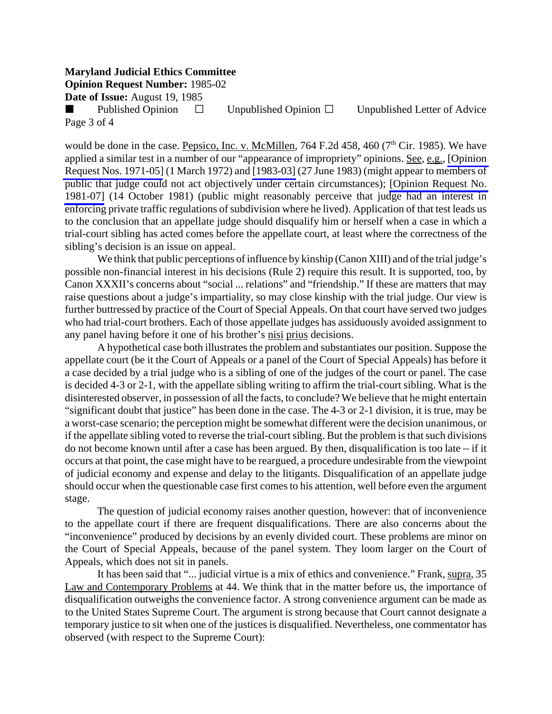**Opinion Request Number:** 1985-02

**Date of Issue:** August 19, 1985

Published Opinion  $\square$  Unpublished Opinion  $\square$  Unpublished Letter of Advice Page 3 of 4

would be done in the case. Pepsico, Inc. v. McMillen, 764 F.2d 458, 460 ( $7<sup>th</sup>$  Cir. 1985). We have applied a similar test in a number of our "appearance of impropriety" opinions. See, e.g., [\[Opinion](http://www.mdcourts.gov/ethics/pdfs/1971-05.pdf) [Request Nos. 1971-05\]](http://www.mdcourts.gov/ethics/pdfs/1971-05.pdf) (1 March 1972) and [\[1983-03\]](http://www.mdcourts.gov/ethics/pdfs/1983-03.pdf) (27 June 1983) (might appear to members of public that judge could not act objectively under certain circumstances); [\[Opinion Request No.](http://www.mdcourts.gov/ethics/pdfs/1981-07.pdf) [1981-07\]](http://www.mdcourts.gov/ethics/pdfs/1981-07.pdf) (14 October 1981) (public might reasonably perceive that judge had an interest in enforcing private traffic regulations of subdivision where he lived). Application of that test leads us to the conclusion that an appellate judge should disqualify him or herself when a case in which a trial-court sibling has acted comes before the appellate court, at least where the correctness of the sibling's decision is an issue on appeal.

We think that public perceptions of influence by kinship (Canon XIII) and of the trial judge's possible non-financial interest in his decisions (Rule 2) require this result. It is supported, too, by Canon XXXII's concerns about "social ... relations" and "friendship." If these are matters that may raise questions about a judge's impartiality, so may close kinship with the trial judge. Our view is further buttressed by practice of the Court of Special Appeals. On that court have served two judges who had trial-court brothers. Each of those appellate judges has assiduously avoided assignment to any panel having before it one of his brother's nisi prius decisions.

A hypothetical case both illustrates the problem and substantiates our position. Suppose the appellate court (be it the Court of Appeals or a panel of the Court of Special Appeals) has before it a case decided by a trial judge who is a sibling of one of the judges of the court or panel. The case is decided 4-3 or 2-1, with the appellate sibling writing to affirm the trial-court sibling. What is the disinterested observer, in possession of all the facts, to conclude? We believe that he might entertain "significant doubt that justice" has been done in the case. The 4-3 or 2-1 division, it is true, may be a worst-case scenario; the perception might be somewhat different were the decision unanimous, or if the appellate sibling voted to reverse the trial-court sibling. But the problem is that such divisions do not become known until after a case has been argued. By then, disqualification is too late  $-$  if it occurs at that point, the case might have to be reargued, a procedure undesirable from the viewpoint of judicial economy and expense and delay to the litigants. Disqualification of an appellate judge should occur when the questionable case first comes to his attention, well before even the argument stage.

The question of judicial economy raises another question, however: that of inconvenience to the appellate court if there are frequent disqualifications. There are also concerns about the "inconvenience" produced by decisions by an evenly divided court. These problems are minor on the Court of Special Appeals, because of the panel system. They loom larger on the Court of Appeals, which does not sit in panels.

It has been said that "... judicial virtue is a mix of ethics and convenience." Frank, supra, 35 Law and Contemporary Problems at 44. We think that in the matter before us, the importance of disqualification outweighs the convenience factor. A strong convenience argument can be made as to the United States Supreme Court. The argument is strong because that Court cannot designate a temporary justice to sit when one of the justices is disqualified. Nevertheless, one commentator has observed (with respect to the Supreme Court):